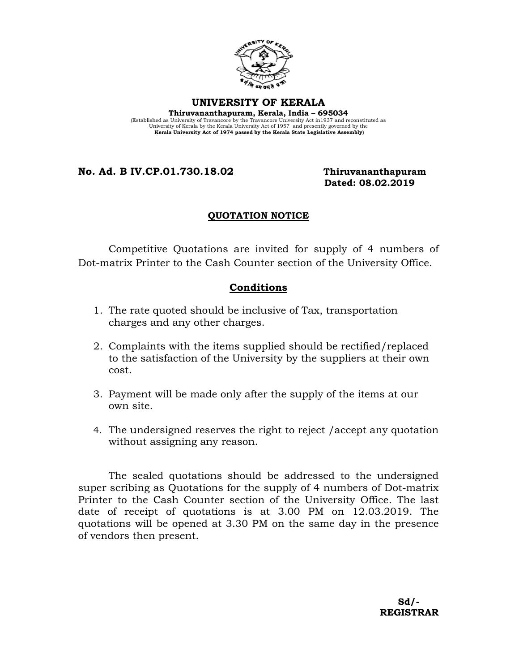

**UNIVERSITY OF KERALA Thiruvananthapuram, Kerala, India – 695034**  (Established as University of Travancore by the Travancore University Act in1937 and reconstituted as University of Kerala by the Kerala University Act of 1957 and presently governed by the **Kerala University Act of 1974 passed by the Kerala State Legislative Assembly)**

**No. Ad. B IV.CP.01.730.18.02 Thiruvananthapuram**

 **Dated: 08.02.2019**

## **QUOTATION NOTICE**

Competitive Quotations are invited for supply of 4 numbers of Dot-matrix Printer to the Cash Counter section of the University Office.

## **Conditions**

- 1. The rate quoted should be inclusive of Tax, transportation charges and any other charges.
- 2. Complaints with the items supplied should be rectified/replaced to the satisfaction of the University by the suppliers at their own cost.
- 3. Payment will be made only after the supply of the items at our own site.
- 4. The undersigned reserves the right to reject /accept any quotation without assigning any reason.

The sealed quotations should be addressed to the undersigned super scribing as Quotations for the supply of 4 numbers of Dot-matrix Printer to the Cash Counter section of the University Office. The last date of receipt of quotations is at 3.00 PM on 12.03.2019. The quotations will be opened at 3.30 PM on the same day in the presence of vendors then present.

 **Sd/- REGISTRAR**